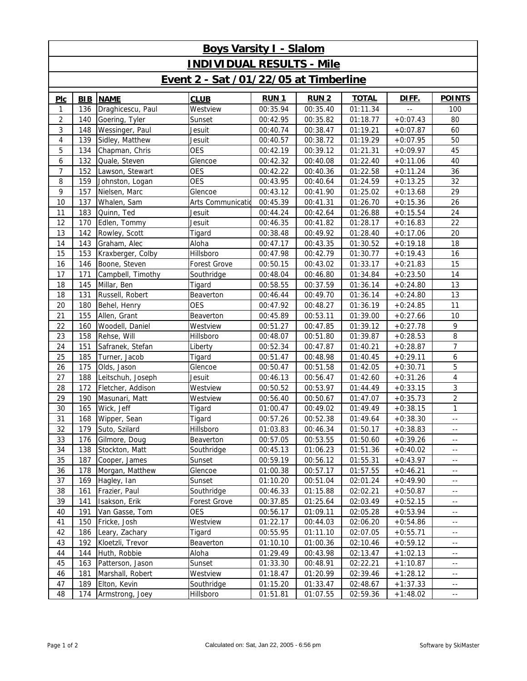| <b>Boys Varsity I - Slalom</b>        |            |                   |                   |             |                  |              |            |                            |  |  |  |
|---------------------------------------|------------|-------------------|-------------------|-------------|------------------|--------------|------------|----------------------------|--|--|--|
| <b>INDIVIDUAL RESULTS - Mile</b>      |            |                   |                   |             |                  |              |            |                            |  |  |  |
| Event 2 - Sat /01/22/05 at Timberline |            |                   |                   |             |                  |              |            |                            |  |  |  |
| PLC                                   | <b>BIB</b> | <b>NAME</b>       | <b>CLUB</b>       | <b>RUN1</b> | RUN <sub>2</sub> | <b>TOTAL</b> | DIFF.      | <b>POINTS</b>              |  |  |  |
| 1                                     | 136        | Draghicescu, Paul | Westview          | 00:35.94    | 00:35.40         | 01:11.34     |            | 100                        |  |  |  |
| $\overline{2}$                        | 140        | Goering, Tyler    | Sunset            | 00:42.95    | 00:35.82         | 01:18.77     | $+0:07.43$ | 80                         |  |  |  |
| 3                                     | 148        | Wessinger, Paul   | Jesuit            | 00:40.74    | 00:38.47         | 01:19.21     | $+0:07.87$ | 60                         |  |  |  |
| $\overline{4}$                        | 139        | Sidley, Matthew   | Jesuit            | 00:40.57    | 00:38.72         | 01:19.29     | $+0:07.95$ | 50                         |  |  |  |
| 5                                     | 134        | Chapman, Chris    | <b>OES</b>        | 00:42.19    | 00:39.12         | 01:21.31     | $+0:09.97$ | 45                         |  |  |  |
| 6                                     | 132        | Quale, Steven     | Glencoe           | 00:42.32    | 00:40.08         | 01:22.40     | $+0:11.06$ | 40                         |  |  |  |
| $\overline{7}$                        | 152        | Lawson, Stewart   | <b>OES</b>        | 00:42.22    | 00:40.36         | 01:22.58     | $+0:11.24$ | 36                         |  |  |  |
| 8                                     | 159        | Johnston, Logan   | <b>OES</b>        | 00:43.95    | 00:40.64         | 01:24.59     | $+0:13.25$ | 32                         |  |  |  |
| 9                                     | 157        | Nielsen, Marc     | Glencoe           | 00:43.12    | 00:41.90         | 01:25.02     | $+0:13.68$ | 29                         |  |  |  |
| 10                                    | 137        | Whalen, Sam       | Arts Communicatio | 00:45.39    | 00:41.31         | 01:26.70     | $+0:15.36$ | 26                         |  |  |  |
| 11                                    | 183        | Quinn, Ted        | Jesuit            | 00:44.24    | 00:42.64         | 01:26.88     | $+0:15.54$ | 24                         |  |  |  |
| 12                                    | 170        | Edlen, Tommy      | Jesuit            | 00:46.35    | 00:41.82         | 01:28.17     | $+0:16.83$ | 22                         |  |  |  |
| 13                                    | 142        | Rowley, Scott     | Tigard            | 00:38.48    | 00:49.92         | 01:28.40     | $+0:17.06$ | 20                         |  |  |  |
| 14                                    | 143        | Graham, Alec      | Aloha             | 00:47.17    | 00:43.35         | 01:30.52     | $+0:19.18$ | 18                         |  |  |  |
| 15                                    | 153        | Kraxberger, Colby | Hillsboro         | 00:47.98    | 00:42.79         | 01:30.77     | $+0:19.43$ | 16                         |  |  |  |
| 16                                    | 146        | Boone, Steven     | Forest Grove      | 00:50.15    | 00:43.02         | 01:33.17     | $+0:21.83$ | 15                         |  |  |  |
| 17                                    | 171        | Campbell, Timothy | Southridge        | 00:48.04    | 00:46.80         | 01:34.84     | $+0:23.50$ | 14                         |  |  |  |
| 18                                    | 145        | Millar, Ben       | Tigard            | 00:58.55    | 00:37.59         | 01:36.14     | $+0:24.80$ | 13                         |  |  |  |
| 18                                    | 131        | Russell, Robert   | Beaverton         | 00:46.44    | 00:49.70         | 01:36.14     | $+0:24.80$ | 13                         |  |  |  |
| 20                                    | 180        | Behel, Henry      | <b>OES</b>        | 00:47.92    | 00:48.27         | 01:36.19     | $+0:24.85$ | 11                         |  |  |  |
| 21                                    | 155        | Allen, Grant      | Beaverton         | 00:45.89    | 00:53.11         | 01:39.00     | $+0:27.66$ | 10                         |  |  |  |
| 22                                    | 160        | Woodell, Daniel   | Westview          | 00:51.27    | 00:47.85         | 01:39.12     | $+0:27.78$ | 9                          |  |  |  |
| 23                                    | 158        | Rehse, Will       | Hillsboro         | 00:48.07    | 00:51.80         | 01:39.87     | $+0:28.53$ | 8                          |  |  |  |
| 24                                    | 151        | Safranek, Stefan  | Liberty           | 00:52.34    | 00:47.87         | 01:40.21     | $+0:28.87$ | $\overline{7}$             |  |  |  |
| 25                                    | 185        | Turner, Jacob     | Tigard            | 00:51.47    | 00:48.98         | 01:40.45     | $+0:29.11$ | 6                          |  |  |  |
| 26                                    | 175        | Olds, Jason       | Glencoe           | 00:50.47    | 00:51.58         | 01:42.05     | $+0:30.71$ | 5                          |  |  |  |
| 27                                    | 188        | Leitschuh, Joseph | Jesuit            | 00:46.13    | 00:56.47         | 01:42.60     | $+0:31.26$ | $\overline{4}$             |  |  |  |
| 28                                    | 172        | Fletcher, Addison | Westview          | 00:50.52    | 00:53.97         | 01:44.49     | $+0:33.15$ | $\mathfrak{Z}$             |  |  |  |
| 29                                    | 190        | Masunari, Matt    | Westview          | 00:56.40    | 00:50.67         | 01:47.07     | $+0:35.73$ | $\overline{2}$             |  |  |  |
| 30                                    | 165        | Wick, Jeff        | Tigard            | 01:00.47    | 00:49.02         | 01:49.49     | $+0:38.15$ | $\mathbf{1}$               |  |  |  |
| 31                                    | 168        | Wipper, Sean      | Tigard            | 00:57.26    | 00:52.38         | 01:49.64     | $+0:38.30$ | $\overline{\phantom{a}}$ . |  |  |  |
| 32                                    | 179        | Suto, Szilard     | Hillsboro         | 01:03.83    | 00:46.34         | 01:50.17     | $+0:38.83$ | $\sim$ $-$                 |  |  |  |
| 33                                    | 176        | Gilmore, Doug     | Beaverton         | 00:57.05    | 00:53.55         | 01:50.60     | $+0:39.26$ | $\overline{a}$             |  |  |  |
| 34                                    | 138        | Stockton, Matt    | Southridge        | 00:45.13    | 01:06.23         | 01:51.36     | $+0:40.02$ | $\overline{\phantom{a}}$   |  |  |  |
| 35                                    | 187        | Cooper, James     | Sunset            | 00:59.19    | 00:56.12         | 01:55.31     | $+0:43.97$ | $\sim$ $-$                 |  |  |  |
| 36                                    | 178        | Morgan, Matthew   | Glencoe           | 01:00.38    | 00:57.17         | 01:57.55     | $+0:46.21$ | $\overline{a}$             |  |  |  |
| 37                                    | 169        | Hagley, Ian       | Sunset            | 01:10.20    | 00:51.04         | 02:01.24     | $+0:49.90$ | $\sim$ $-$                 |  |  |  |
| 38                                    | 161        | Frazier, Paul     | Southridge        | 00:46.33    | 01:15.88         | 02:02.21     | $+0:50.87$ | $\sim$ $-$                 |  |  |  |
| 39                                    | 141        | Isakson, Erik     | Forest Grove      | 00:37.85    | 01:25.64         | 02:03.49     | $+0:52.15$ | $\overline{a}$             |  |  |  |
| 40                                    | 191        | Van Gasse, Tom    | <b>OES</b>        | 00:56.17    | 01:09.11         | 02:05.28     | $+0:53.94$ | $\sim$ $-$                 |  |  |  |
| 41                                    | 150        | Fricke, Josh      | Westview          | 01:22.17    | 00:44.03         | 02:06.20     | $+0:54.86$ | $\sim$ $-$                 |  |  |  |
| 42                                    | 186        | Leary, Zachary    | Tigard            | 00:55.95    | 01:11.10         | 02:07.05     | $+0:55.71$ | $\overline{a}$             |  |  |  |
| 43                                    | 192        | Kloetzli, Trevor  | Beaverton         | 01:10.10    | 01:00.36         | 02:10.46     | $+0:59.12$ | $\sim$ $-$                 |  |  |  |
| 44                                    | 144        | Huth, Robbie      | Aloha             | 01:29.49    | 00:43.98         | 02:13.47     | $+1:02.13$ | $\sim$ $-$                 |  |  |  |
| 45                                    | 163        | Patterson, Jason  | Sunset            | 01:33.30    | 00:48.91         | 02:22.21     | $+1:10.87$ | $\overline{a}$             |  |  |  |
| 46                                    | 181        | Marshall, Robert  | Westview          | 01:18.47    | 01:20.99         | 02:39.46     | $+1:28.12$ | $\overline{\phantom{a}}$   |  |  |  |
| 47                                    | 189        | Elton, Kevin      | Southridge        | 01:15.20    | 01:33.47         | 02:48.67     | $+1:37.33$ | $\overline{\phantom{a}}$   |  |  |  |
| 48                                    | 174        | Armstrong, Joey   | Hillsboro         | 01:51.81    | 01:07.55         | 02:59.36     | $+1:48.02$ | $\sim$ $-$                 |  |  |  |